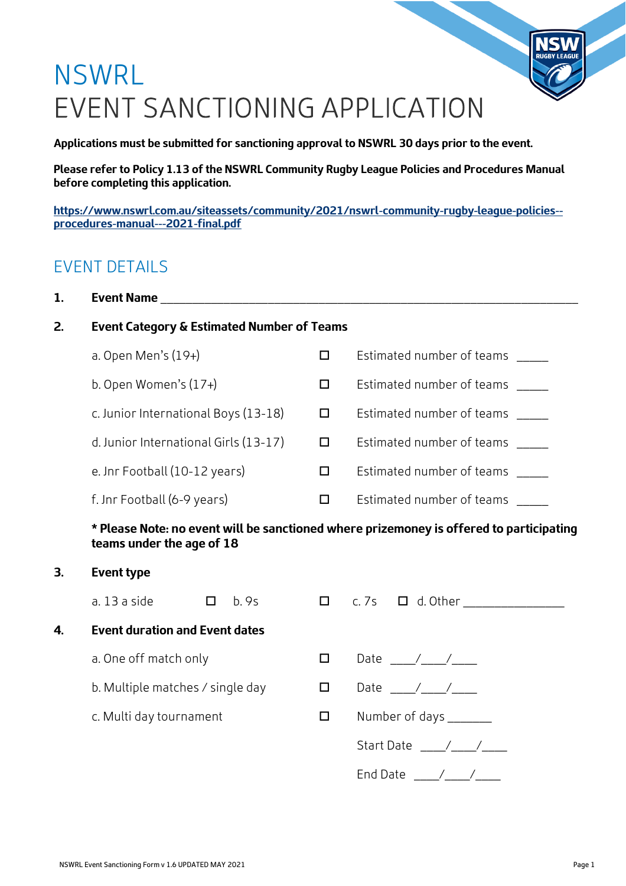# **NSWRL** EVENT SANCTIONING APPLICATION

**Applications must be submitted for sanctioning approval to NSWRL 30 days prior to the event.** 

**Please refer to Policy 1.13 of the NSWRL Community Rugby League Policies and Procedures Manual before completing this application.** 

**[https://www.nswrl.com.au/siteassets/community/2021/nswrl-community-rugby-league-policies-](https://www.nswrl.com.au/siteassets/community/2021/nswrl-community-rugby-league-policies--procedures-manual---2021-final.pdf) [procedures-manual---2021-final.pdf](https://www.nswrl.com.au/siteassets/community/2021/nswrl-community-rugby-league-policies--procedures-manual---2021-final.pdf)** 

# EVENT DETAILS

**1.** Event Name

#### **2. Event Category & Estimated Number of Teams**

| a. Open Men's (19+)                   |   | Estimated number of teams |
|---------------------------------------|---|---------------------------|
| b. Open Women's $(17+)$               |   | Estimated number of teams |
| c. Junior International Boys (13-18)  | ப | Estimated number of teams |
| d. Junior International Girls (13-17) | □ | Estimated number of teams |
| e. Jnr Football (10-12 years)         |   | Estimated number of teams |
| f. Jnr Football (6-9 years)           |   | Estimated number of teams |

**\* Please Note: no event will be sanctioned where prizemoney is offered to participating teams under the age of 18**

#### **3. Event type**

|    | a. 13 a side                          | b. 9s |  | c. 7s $\Box$ d. Other  |  |
|----|---------------------------------------|-------|--|------------------------|--|
| 4. | <b>Event duration and Event dates</b> |       |  |                        |  |
|    | a. One off match only                 |       |  |                        |  |
|    | b. Multiple matches / single day      |       |  | Date $\frac{\pi}{2}$   |  |
|    | c. Multi day tournament               |       |  | Number of days _______ |  |
|    |                                       |       |  |                        |  |
|    |                                       |       |  | End Date /             |  |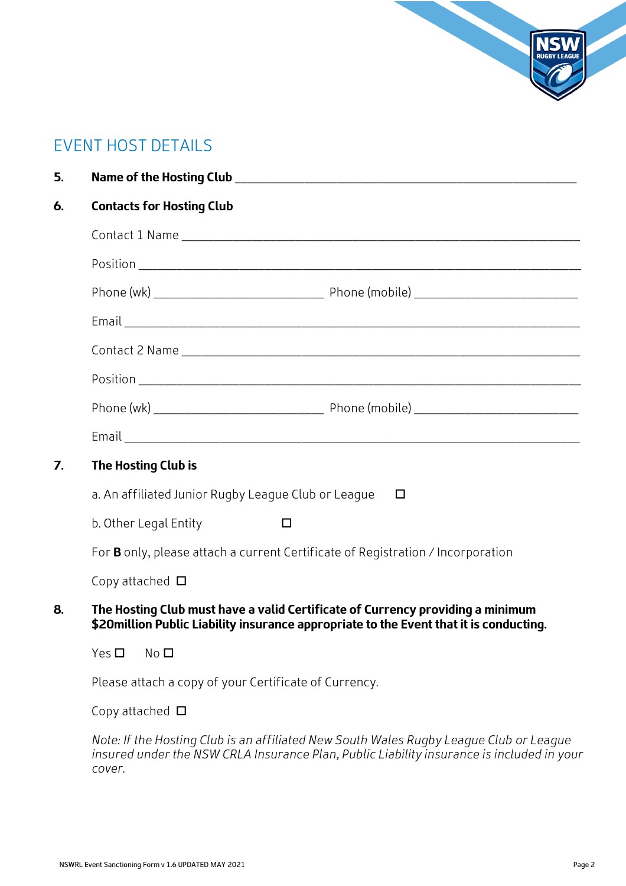

# EVENT HOST DETAILS

| 5.                                                                                                                                                                              |                                                                                        |  |  |
|---------------------------------------------------------------------------------------------------------------------------------------------------------------------------------|----------------------------------------------------------------------------------------|--|--|
| 6.                                                                                                                                                                              | <b>Contacts for Hosting Club</b>                                                       |  |  |
|                                                                                                                                                                                 |                                                                                        |  |  |
|                                                                                                                                                                                 |                                                                                        |  |  |
|                                                                                                                                                                                 |                                                                                        |  |  |
|                                                                                                                                                                                 |                                                                                        |  |  |
|                                                                                                                                                                                 |                                                                                        |  |  |
|                                                                                                                                                                                 |                                                                                        |  |  |
|                                                                                                                                                                                 |                                                                                        |  |  |
|                                                                                                                                                                                 |                                                                                        |  |  |
| 7.                                                                                                                                                                              | The Hosting Club is                                                                    |  |  |
|                                                                                                                                                                                 | a. An affiliated Junior Rugby League Club or League<br>$\Box$                          |  |  |
|                                                                                                                                                                                 | b. Other Legal Entity<br>$\Box$                                                        |  |  |
|                                                                                                                                                                                 | For <b>B</b> only, please attach a current Certificate of Registration / Incorporation |  |  |
|                                                                                                                                                                                 | Copy attached $\Box$                                                                   |  |  |
| The Hosting Club must have a valid Certificate of Currency providing a minimum<br>8.<br>\$20 million Public Liability insurance appropriate to the Event that it is conducting. |                                                                                        |  |  |
|                                                                                                                                                                                 | Yes $\square$<br>No <sub>1</sub>                                                       |  |  |
|                                                                                                                                                                                 | Please attach a copy of your Certificate of Currency.                                  |  |  |
|                                                                                                                                                                                 | Copy attached $\Box$                                                                   |  |  |

*Note: If the Hosting Club is an affiliated New South Wales Rugby League Club or League insured under the NSW CRLA Insurance Plan, Public Liability insurance is included in your cover.*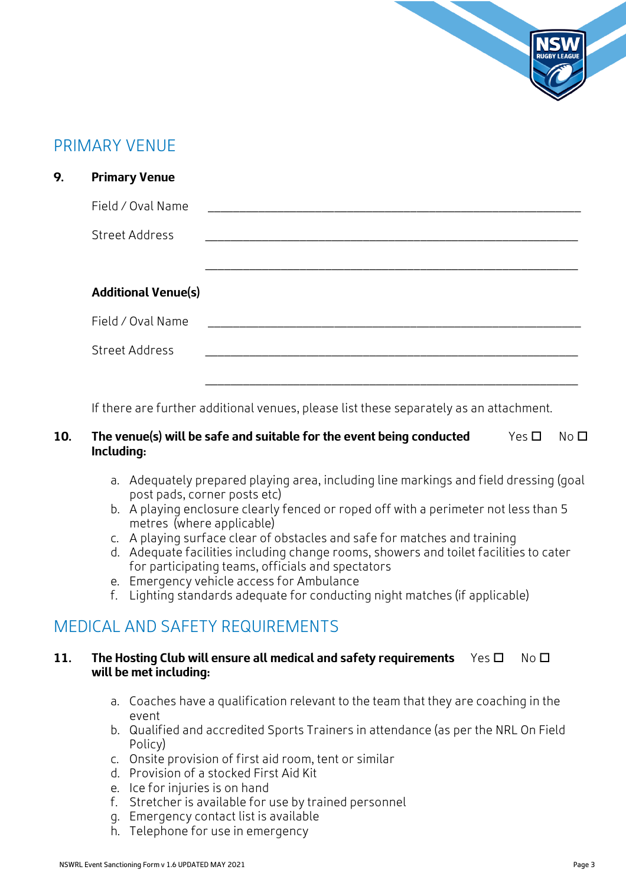

# PRIMARY VENUE

| 9. | <b>Primary Venue</b>       |
|----|----------------------------|
|    | Field / Oval Name          |
|    | <b>Street Address</b>      |
|    |                            |
|    | <b>Additional Venue(s)</b> |
|    | Field / Oval Name          |
|    | Street Address             |
|    |                            |

If there are further additional venues, please list these separately as an attachment.

#### **10. The venue(s) will be safe and suitable for the event being conducted** Yes  $\square$  No  $\square$ **Including:**

- a. Adequately prepared playing area, including line markings and field dressing (goal post pads, corner posts etc)
- b. A playing enclosure clearly fenced or roped off with a perimeter not less than 5 metres (where applicable)
- c. A playing surface clear of obstacles and safe for matches and training
- d. Adequate facilities including change rooms, showers and toilet facilities to cater for participating teams, officials and spectators
- e. Emergency vehicle access for Ambulance
- f. Lighting standards adequate for conducting night matches (if applicable)

# MEDICAL AND SAFETY REQUIREMENTS

#### **11. The Hosting Club will ensure all medical and safety requirements** Yes  $\Box$  No  $\Box$ **will be met including:**

- a. Coaches have a qualification relevant to the team that they are coaching in the event
- b. Qualified and accredited Sports Trainers in attendance (as per the NRL On Field Policy)
- c. Onsite provision of first aid room, tent or similar
- d. Provision of a stocked First Aid Kit
- e. Ice for injuries is on hand
- f. Stretcher is available for use by trained personnel
- g. Emergency contact list is available
- h. Telephone for use in emergency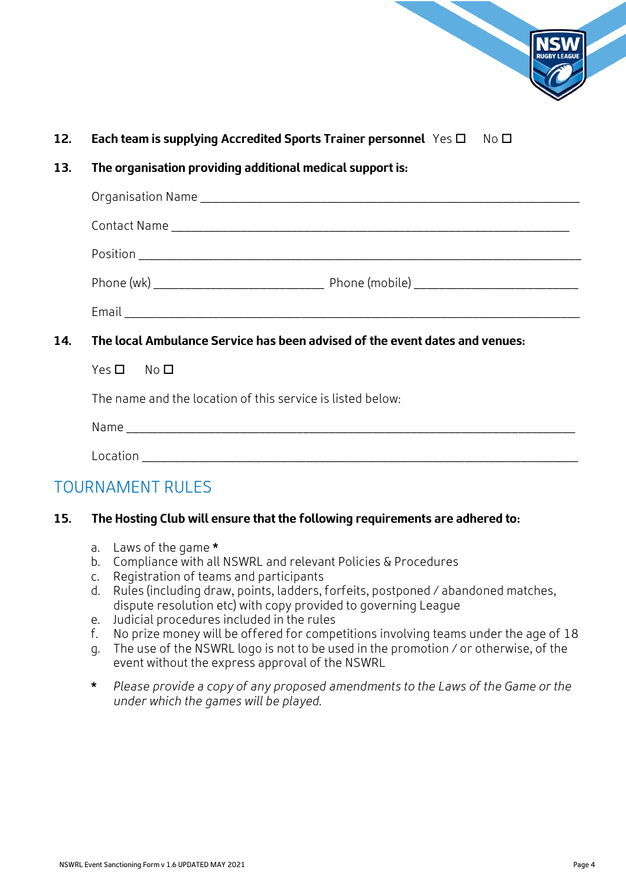

### **12. Each team is supplying Accredited Sports Trainer personnel** Yes  $\Box$  No  $\Box$

**13. The organisation providing additional medical support is:**

# Organisation Name Contact Name was also as a set of the set of the set of the set of the set of the set of the set of the set of Position \_\_\_\_\_\_\_\_\_\_\_\_\_\_\_\_\_\_\_\_\_\_\_\_\_\_\_\_\_\_\_\_\_\_\_\_\_\_\_\_\_\_\_\_\_\_\_\_\_\_\_\_\_\_\_\_\_\_\_\_\_\_\_\_\_\_\_\_\_\_ Phone (wk) Thone (mobile)  $\blacksquare$ Email \_\_\_\_\_\_\_\_\_\_\_\_\_\_\_\_\_\_\_\_\_\_\_\_\_\_\_\_\_\_\_\_\_\_\_\_\_\_\_\_\_\_\_\_\_\_\_\_\_\_\_\_\_\_\_\_\_\_\_\_\_\_\_\_\_\_\_\_\_\_\_\_ **14. The local Ambulance Service has been advised of the event dates and venues:**  $Yes \nabla$  No  $\nabla$ The name and the location of this service is listed below: Name \_\_\_\_\_\_\_\_\_\_\_\_\_\_\_\_\_\_\_\_\_\_\_\_\_\_\_\_\_\_\_\_\_\_\_\_\_\_\_\_\_\_\_\_\_\_\_\_\_\_\_\_\_\_\_\_\_\_\_\_\_\_\_\_\_\_\_\_\_\_\_  $Location$

# TOURNAMENT RULES

#### **15. The Hosting Club will ensure that the following requirements are adhered to:**

- a. Laws of the game \*
- b. Compliance with all NSWRL and relevant Policies & Procedures
- c. Registration of teams and participants
- d. Rules (including draw, points, ladders, forfeits, postponed / abandoned matches, dispute resolution etc) with copy provided to governing League
- e. Judicial procedures included in the rules
- f. No prize money will be offered for competitions involving teams under the age of 18
- g. The use of the NSWRL logo is not to be used in the promotion / or otherwise, of the event without the express approval of the NSWRL
- \* *Please provide a copy of any proposed amendments to the Laws of the Game or the under which the games will be played.*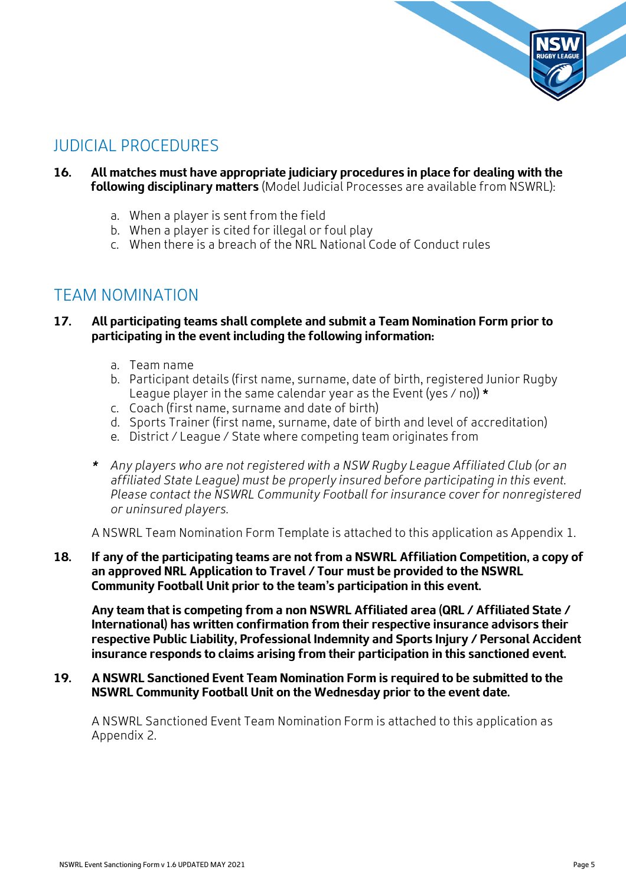

# JUDICIAL PROCEDURES

#### **16. All matches must have appropriate judiciary procedures in place for dealing with the following disciplinary matters** (Model Judicial Processes are available from NSWRL):

- a. When a player is sent from the field
- b. When a player is cited for illegal or foul play
- c. When there is a breach of the NRL National Code of Conduct rules

## TEAM NOMINATION

#### **17. All participating teams shall complete and submit a Team Nomination Form prior to participating in the event including the following information:**

- a. Team name
- b. Participant details (first name, surname, date of birth, registered Junior Rugby League player in the same calendar year as the Event (yes  $/$  no))  $*$
- c. Coach (first name, surname and date of birth)
- d. Sports Trainer (first name, surname, date of birth and level of accreditation)
- e. District / League / State where competing team originates from
- *\* Any players who are not registered with a NSW Rugby League Affiliated Club (or an affiliated State League) must be properly insured before participating in this event. Please contact the NSWRL Community Football for insurance cover for nonregistered or uninsured players.*

A NSWRL Team Nomination Form Template is attached to this application as Appendix 1.

**18. If any of the participating teams are not from a NSWRL Affiliation Competition, a copy of an approved NRL Application to Travel / Tour must be provided to the NSWRL Community Football Unit prior to the team's participation in this event.** 

**Any team that is competing from a non NSWRL Affiliated area (QRL / Affiliated State / International) has written confirmation from their respective insurance advisors their respective Public Liability, Professional Indemnity and Sports Injury / Personal Accident insurance responds to claims arising from their participation in this sanctioned event.** 

#### **19. A NSWRL Sanctioned Event Team Nomination Form is required to be submitted to the NSWRL Community Football Unit on the Wednesday prior to the event date.**

A NSWRL Sanctioned Event Team Nomination Form is attached to this application as Appendix 2.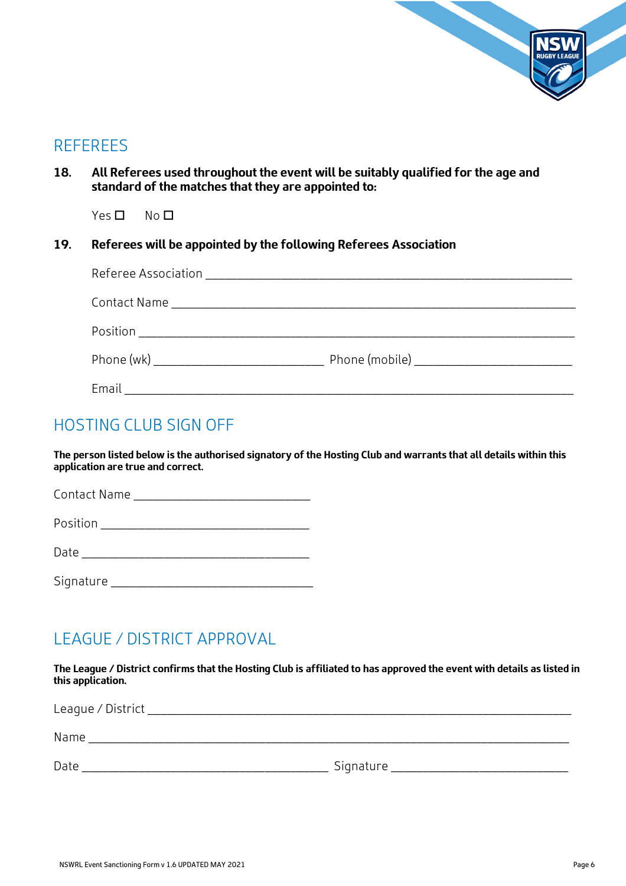

### **REFEREES**

**18. All Referees used throughout the event will be suitably qualified for the age and standard of the matches that they are appointed to:** 

 $Yes \Box$  No  $\Box$ 

#### **19. Referees will be appointed by the following Referees Association**

# HOSTING CLUB SIGN OFF

**The person listed below is the authorised signatory of the Hosting Club and warrants that all details within this application are true and correct.**

Position \_\_\_\_\_\_\_\_\_\_\_\_\_\_\_\_\_\_\_\_\_\_\_\_\_\_\_\_\_\_\_\_\_

Date \_\_\_\_\_\_\_\_\_\_\_\_\_\_\_\_\_\_\_\_\_\_\_\_\_\_\_\_\_\_\_\_\_\_\_\_

Signature \_\_\_\_\_\_\_\_\_\_\_\_\_\_\_\_\_\_\_\_\_\_\_\_\_\_\_\_\_\_\_\_

# LEAGUE / DISTRICT APPROVAL

**The League / District confirms that the Hosting Club is affiliated to has approved the event with details as listed in this application.** 

| League / District_ |           |
|--------------------|-----------|
| Name               |           |
| Date               | Signature |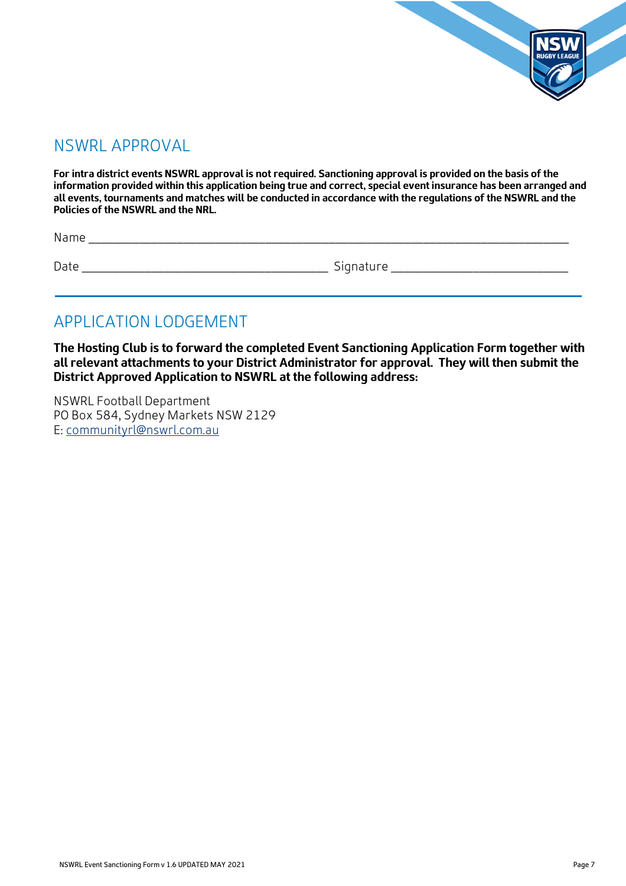

## NSWRL APPROVAL

**For intra district events NSWRL approval is not required. Sanctioning approval is provided on the basis of the information provided within this application being true and correct, special event insurance has been arranged and all events, tournaments and matches will be conducted in accordance with the regulations of the NSWRL and the Policies of the NSWRL and the NRL.**

Name \_\_\_\_\_\_\_\_\_\_\_\_\_\_\_\_\_\_\_\_\_\_\_\_\_\_\_\_\_\_\_\_\_\_\_\_\_\_\_\_\_\_\_\_\_\_\_\_\_\_\_\_\_\_\_\_\_\_\_\_\_\_\_\_\_\_\_\_\_\_\_\_\_\_\_\_

Date \_\_\_\_\_\_\_\_\_\_\_\_\_\_\_\_\_\_\_\_\_\_\_\_\_\_\_\_\_\_\_\_\_\_\_\_\_\_\_ Signature \_\_\_\_\_\_\_\_\_\_\_\_\_\_\_\_\_\_\_\_\_\_\_\_\_\_\_\_

# APPLICATION LODGEMENT

**The Hosting Club is to forward the completed Event Sanctioning Application Form together with all relevant attachments to your District Administrator for approval. They will then submit the District Approved Application to NSWRL at the following address:**

NSWRL Football Department PO Box 584, Sydney Markets NSW 2129 E: [communityrl@nswrl.com.au](mailto:communityrl@nswrl.com.au)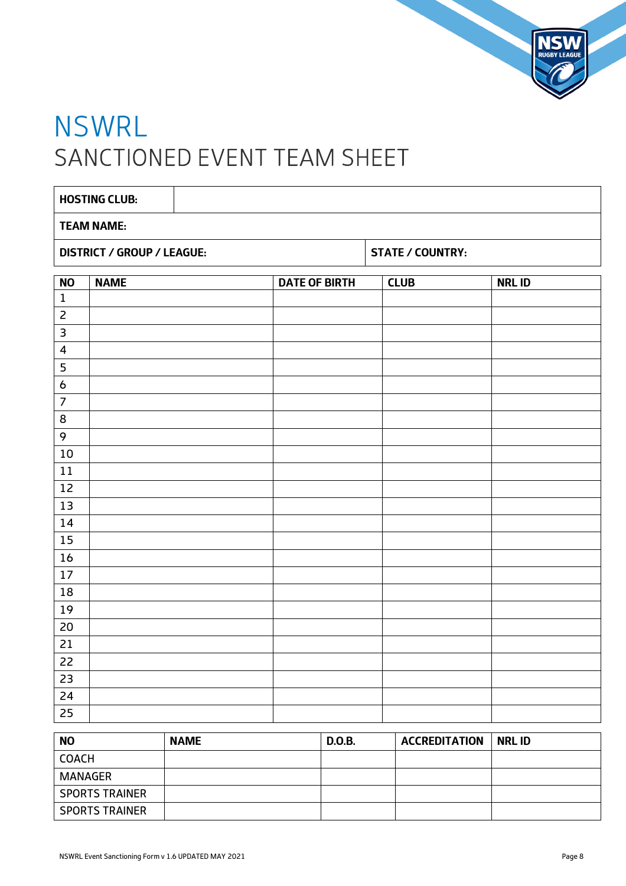

# NSWRL<br>SANCTIONED EVENT TEAM SHEET

| <b>HOSTING CLUB:</b>    |                                                                          |  |                      |             |              |  |
|-------------------------|--------------------------------------------------------------------------|--|----------------------|-------------|--------------|--|
| <b>TEAM NAME:</b>       |                                                                          |  |                      |             |              |  |
|                         | <b>DISTRICT / GROUP / LEAGUE:</b><br><b>STATE / COUNTRY:</b>             |  |                      |             |              |  |
| <b>NO</b>               | <b>NAME</b>                                                              |  | <b>DATE OF BIRTH</b> | <b>CLUB</b> | <b>NRLID</b> |  |
| $\mathbf 1$             |                                                                          |  |                      |             |              |  |
| $\overline{2}$          |                                                                          |  |                      |             |              |  |
| $\mathsf 3$             |                                                                          |  |                      |             |              |  |
| $\overline{\mathbf{4}}$ |                                                                          |  |                      |             |              |  |
| 5                       |                                                                          |  |                      |             |              |  |
| $\pmb{6}$               |                                                                          |  |                      |             |              |  |
| $\overline{7}$          |                                                                          |  |                      |             |              |  |
| $\bf 8$                 |                                                                          |  |                      |             |              |  |
| 9                       |                                                                          |  |                      |             |              |  |
| 10                      |                                                                          |  |                      |             |              |  |
| 11                      |                                                                          |  |                      |             |              |  |
| 12                      |                                                                          |  |                      |             |              |  |
| 13                      |                                                                          |  |                      |             |              |  |
| 14                      |                                                                          |  |                      |             |              |  |
| 15                      |                                                                          |  |                      |             |              |  |
| 16                      |                                                                          |  |                      |             |              |  |
| 17                      |                                                                          |  |                      |             |              |  |
| $18\,$                  |                                                                          |  |                      |             |              |  |
| 19                      |                                                                          |  |                      |             |              |  |
| 20                      |                                                                          |  |                      |             |              |  |
| 21                      |                                                                          |  |                      |             |              |  |
| $\overline{22}$         |                                                                          |  |                      |             |              |  |
| 23                      |                                                                          |  |                      |             |              |  |
| 24                      |                                                                          |  |                      |             |              |  |
| 25                      |                                                                          |  |                      |             |              |  |
| $\overline{\mathbf{H}}$ | $ACCDF$ $TATO$<br><b>ALABAC</b><br><b>AIDLID</b><br>$\sim$ $\sim$ $\sim$ |  |                      |             |              |  |

| <b>NO</b>             | <b>NAME</b> | <b>D.O.B.</b> | <b>ACCREDITATION</b> | <b>NRL ID</b> |
|-----------------------|-------------|---------------|----------------------|---------------|
| <b>COACH</b>          |             |               |                      |               |
| <b>MANAGER</b>        |             |               |                      |               |
| <b>SPORTS TRAINER</b> |             |               |                      |               |
| <b>SPORTS TRAINER</b> |             |               |                      |               |